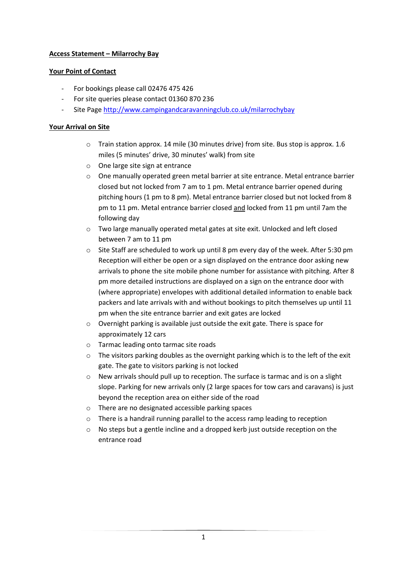## **Access Statement – Milarrochy Bay**

#### **Your Point of Contact**

- For bookings please call 02476 475 426
- For site queries please contact 01360 870 236
- Site Page<http://www.campingandcaravanningclub.co.uk/milarrochybay>

## **Your Arrival on Site**

- o Train station approx. 14 mile (30 minutes drive) from site. Bus stop is approx. 1.6 miles (5 minutes' drive, 30 minutes' walk) from site
- o One large site sign at entrance
- $\circ$  One manually operated green metal barrier at site entrance. Metal entrance barrier closed but not locked from 7 am to 1 pm. Metal entrance barrier opened during pitching hours (1 pm to 8 pm). Metal entrance barrier closed but not locked from 8 pm to 11 pm. Metal entrance barrier closed and locked from 11 pm until 7am the following day
- o Two large manually operated metal gates at site exit. Unlocked and left closed between 7 am to 11 pm
- o Site Staff are scheduled to work up until 8 pm every day of the week. After 5:30 pm Reception will either be open or a sign displayed on the entrance door asking new arrivals to phone the site mobile phone number for assistance with pitching. After 8 pm more detailed instructions are displayed on a sign on the entrance door with (where appropriate) envelopes with additional detailed information to enable back packers and late arrivals with and without bookings to pitch themselves up until 11 pm when the site entrance barrier and exit gates are locked
- o Overnight parking is available just outside the exit gate. There is space for approximately 12 cars
- o Tarmac leading onto tarmac site roads
- $\circ$  The visitors parking doubles as the overnight parking which is to the left of the exit gate. The gate to visitors parking is not locked
- o New arrivals should pull up to reception. The surface is tarmac and is on a slight slope. Parking for new arrivals only (2 large spaces for tow cars and caravans) is just beyond the reception area on either side of the road
- o There are no designated accessible parking spaces
- o There is a handrail running parallel to the access ramp leading to reception
- o No steps but a gentle incline and a dropped kerb just outside reception on the entrance road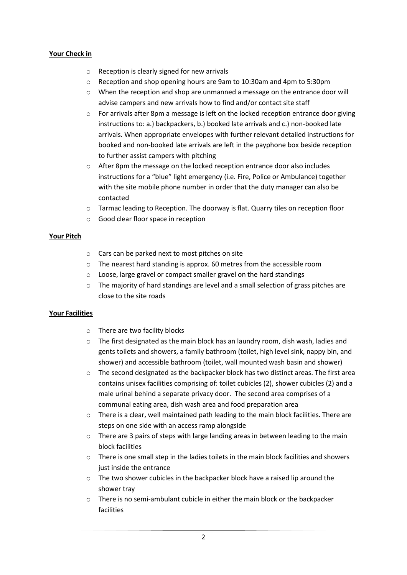## **Your Check in**

- o Reception is clearly signed for new arrivals
- o Reception and shop opening hours are 9am to 10:30am and 4pm to 5:30pm
- o When the reception and shop are unmanned a message on the entrance door will advise campers and new arrivals how to find and/or contact site staff
- $\circ$  For arrivals after 8pm a message is left on the locked reception entrance door giving instructions to: a.) backpackers, b.) booked late arrivals and c.) non-booked late arrivals. When appropriate envelopes with further relevant detailed instructions for booked and non-booked late arrivals are left in the payphone box beside reception to further assist campers with pitching
- o After 8pm the message on the locked reception entrance door also includes instructions for a "blue" light emergency (i.e. Fire, Police or Ambulance) together with the site mobile phone number in order that the duty manager can also be contacted
- o Tarmac leading to Reception. The doorway is flat. Quarry tiles on reception floor
- o Good clear floor space in reception

#### **Your Pitch**

- o Cars can be parked next to most pitches on site
- o The nearest hard standing is approx. 60 metres from the accessible room
- o Loose, large gravel or compact smaller gravel on the hard standings
- $\circ$  The majority of hard standings are level and a small selection of grass pitches are close to the site roads

#### **Your Facilities**

- o There are two facility blocks
- $\circ$  The first designated as the main block has an laundry room, dish wash, ladies and gents toilets and showers, a family bathroom (toilet, high level sink, nappy bin, and shower) and accessible bathroom (toilet, wall mounted wash basin and shower)
- o The second designated as the backpacker block has two distinct areas. The first area contains unisex facilities comprising of: toilet cubicles (2), shower cubicles (2) and a male urinal behind a separate privacy door. The second area comprises of a communal eating area, dish wash area and food preparation area
- $\circ$  There is a clear, well maintained path leading to the main block facilities. There are steps on one side with an access ramp alongside
- $\circ$  There are 3 pairs of steps with large landing areas in between leading to the main block facilities
- o There is one small step in the ladies toilets in the main block facilities and showers just inside the entrance
- o The two shower cubicles in the backpacker block have a raised lip around the shower tray
- o There is no semi-ambulant cubicle in either the main block or the backpacker facilities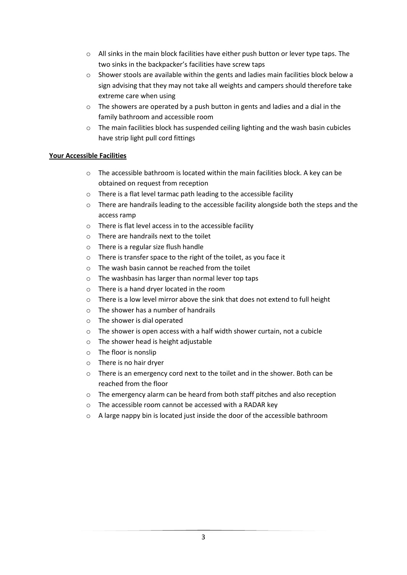- $\circ$  All sinks in the main block facilities have either push button or lever type taps. The two sinks in the backpacker's facilities have screw taps
- $\circ$  Shower stools are available within the gents and ladies main facilities block below a sign advising that they may not take all weights and campers should therefore take extreme care when using
- $\circ$  The showers are operated by a push button in gents and ladies and a dial in the family bathroom and accessible room
- o The main facilities block has suspended ceiling lighting and the wash basin cubicles have strip light pull cord fittings

# **Your Accessible Facilities**

- o The accessible bathroom is located within the main facilities block. A key can be obtained on request from reception
- o There is a flat level tarmac path leading to the accessible facility
- $\circ$  There are handrails leading to the accessible facility alongside both the steps and the access ramp
- o There is flat level access in to the accessible facility
- o There are handrails next to the toilet
- o There is a regular size flush handle
- o There is transfer space to the right of the toilet, as you face it
- o The wash basin cannot be reached from the toilet
- o The washbasin has larger than normal lever top taps
- o There is a hand dryer located in the room
- o There is a low level mirror above the sink that does not extend to full height
- o The shower has a number of handrails
- o The shower is dial operated
- o The shower is open access with a half width shower curtain, not a cubicle
- o The shower head is height adjustable
- o The floor is nonslip
- o There is no hair dryer
- o There is an emergency cord next to the toilet and in the shower. Both can be reached from the floor
- o The emergency alarm can be heard from both staff pitches and also reception
- o The accessible room cannot be accessed with a RADAR key
- $\circ$  A large nappy bin is located just inside the door of the accessible bathroom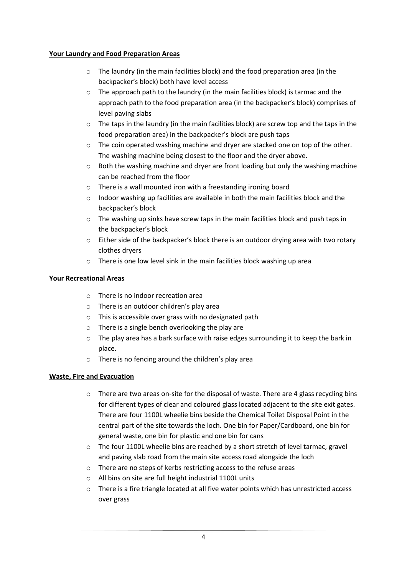## **Your Laundry and Food Preparation Areas**

- o The laundry (in the main facilities block) and the food preparation area (in the backpacker's block) both have level access
- $\circ$  The approach path to the laundry (in the main facilities block) is tarmac and the approach path to the food preparation area (in the backpacker's block) comprises of level paving slabs
- $\circ$  The taps in the laundry (in the main facilities block) are screw top and the taps in the food preparation area) in the backpacker's block are push taps
- o The coin operated washing machine and dryer are stacked one on top of the other. The washing machine being closest to the floor and the dryer above.
- $\circ$  Both the washing machine and dryer are front loading but only the washing machine can be reached from the floor
- o There is a wall mounted iron with a freestanding ironing board
- o Indoor washing up facilities are available in both the main facilities block and the backpacker's block
- $\circ$  The washing up sinks have screw taps in the main facilities block and push taps in the backpacker's block
- o Either side of the backpacker's block there is an outdoor drying area with two rotary clothes dryers
- o There is one low level sink in the main facilities block washing up area

# **Your Recreational Areas**

- o There is no indoor recreation area
- o There is an outdoor children's play area
- o This is accessible over grass with no designated path
- o There is a single bench overlooking the play are
- $\circ$  The play area has a bark surface with raise edges surrounding it to keep the bark in place.
- o There is no fencing around the children's play area

# **Waste, Fire and Evacuation**

- $\circ$  There are two areas on-site for the disposal of waste. There are 4 glass recycling bins for different types of clear and coloured glass located adjacent to the site exit gates. There are four 1100L wheelie bins beside the Chemical Toilet Disposal Point in the central part of the site towards the loch. One bin for Paper/Cardboard, one bin for general waste, one bin for plastic and one bin for cans
- $\circ$  The four 1100L wheelie bins are reached by a short stretch of level tarmac, gravel and paving slab road from the main site access road alongside the loch
- o There are no steps of kerbs restricting access to the refuse areas
- o All bins on site are full height industrial 1100L units
- $\circ$  There is a fire triangle located at all five water points which has unrestricted access over grass